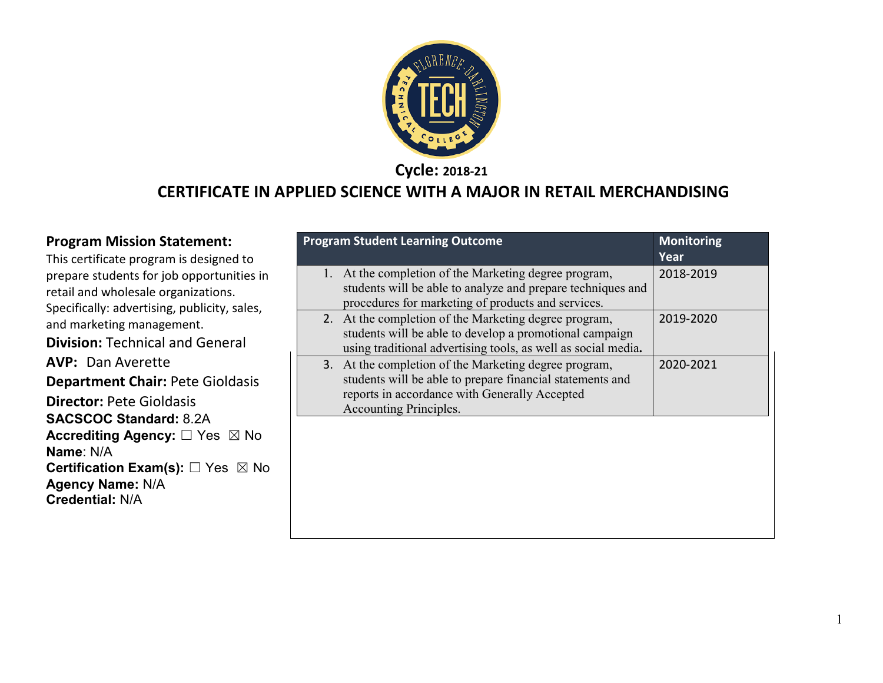

**Cycle: 2018-21**

#### **CERTIFICATE IN APPLIED SCIENCE WITH A MAJOR IN RETAIL MERCHANDISING**

#### **Program Mission Statement:**

This certificate program is designed to prepare students for job opportunities in retail and wholesale organizations. Specifically: advertising, publicity, sales, and marketing management. **Division:** Technical and General **AVP: Dan Averette Department Chair:** Pete Gioldasis **Director:** Pete Gioldasis **SACSCOC Standard:** 8.2A **Accrediting Agency:** ☐ Yes ☒ No **Name**: N/A **Certification Exam(s):** □ Yes ⊠ No **Agency Name:** N/A **Credential:** N/A

| <b>Program Student Learning Outcome</b>                                                                                                                                                       | <b>Monitoring</b><br>Year |
|-----------------------------------------------------------------------------------------------------------------------------------------------------------------------------------------------|---------------------------|
| 1. At the completion of the Marketing degree program,<br>students will be able to analyze and prepare techniques and<br>procedures for marketing of products and services.                    | 2018-2019                 |
| 2. At the completion of the Marketing degree program,<br>students will be able to develop a promotional campaign<br>using traditional advertising tools, as well as social media.             | 2019-2020                 |
| 3. At the completion of the Marketing degree program,<br>students will be able to prepare financial statements and<br>reports in accordance with Generally Accepted<br>Accounting Principles. | 2020-2021                 |
|                                                                                                                                                                                               |                           |
|                                                                                                                                                                                               |                           |
|                                                                                                                                                                                               |                           |

1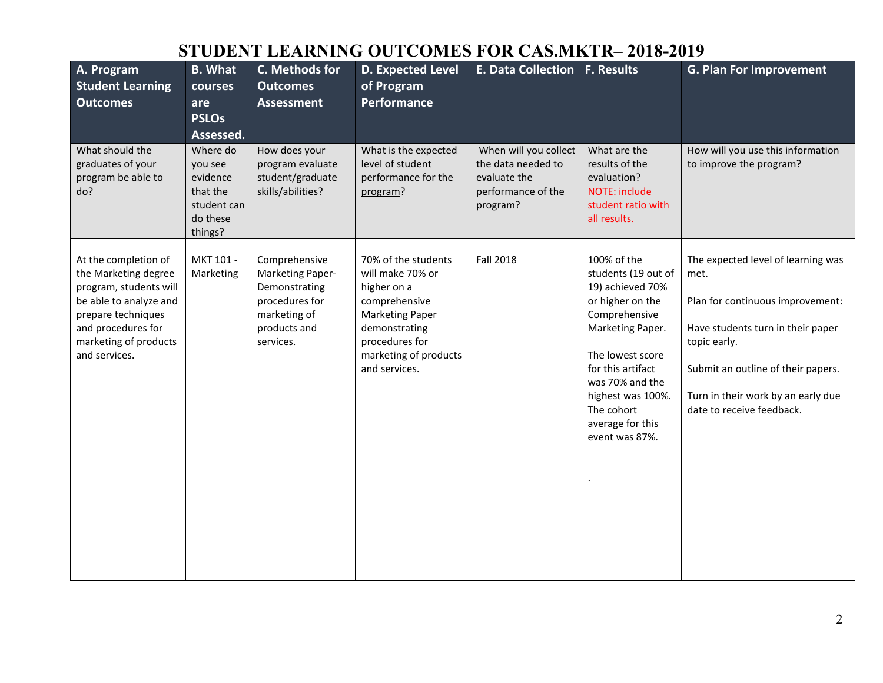# **STUDENT LEARNING OUTCOMES FOR CAS.MKTR– 2018-2019**

| A. Program<br><b>Student Learning</b><br><b>Outcomes</b>                                                                                                                               | <b>B.</b> What<br>courses<br>are<br><b>PSLOs</b><br>Assessed.                     | C. Methods for<br><b>Outcomes</b><br><b>Assessment</b>                                                            | <b>D. Expected Level</b><br>of Program<br><b>Performance</b>                                                                                                                   | <b>E. Data Collection F. Results</b>                                                          |                                                                                                                                                                                                                                                      | <b>G. Plan For Improvement</b>                                                                                                                                                                                                               |
|----------------------------------------------------------------------------------------------------------------------------------------------------------------------------------------|-----------------------------------------------------------------------------------|-------------------------------------------------------------------------------------------------------------------|--------------------------------------------------------------------------------------------------------------------------------------------------------------------------------|-----------------------------------------------------------------------------------------------|------------------------------------------------------------------------------------------------------------------------------------------------------------------------------------------------------------------------------------------------------|----------------------------------------------------------------------------------------------------------------------------------------------------------------------------------------------------------------------------------------------|
| What should the<br>graduates of your<br>program be able to<br>do?                                                                                                                      | Where do<br>you see<br>evidence<br>that the<br>student can<br>do these<br>things? | How does your<br>program evaluate<br>student/graduate<br>skills/abilities?                                        | What is the expected<br>level of student<br>performance for the<br>program?                                                                                                    | When will you collect<br>the data needed to<br>evaluate the<br>performance of the<br>program? | What are the<br>results of the<br>evaluation?<br>NOTE: include<br>student ratio with<br>all results.                                                                                                                                                 | How will you use this information<br>to improve the program?                                                                                                                                                                                 |
| At the completion of<br>the Marketing degree<br>program, students will<br>be able to analyze and<br>prepare techniques<br>and procedures for<br>marketing of products<br>and services. | MKT 101 -<br>Marketing                                                            | Comprehensive<br>Marketing Paper-<br>Demonstrating<br>procedures for<br>marketing of<br>products and<br>services. | 70% of the students<br>will make 70% or<br>higher on a<br>comprehensive<br><b>Marketing Paper</b><br>demonstrating<br>procedures for<br>marketing of products<br>and services. | <b>Fall 2018</b>                                                                              | 100% of the<br>students (19 out of<br>19) achieved 70%<br>or higher on the<br>Comprehensive<br>Marketing Paper.<br>The lowest score<br>for this artifact<br>was 70% and the<br>highest was 100%.<br>The cohort<br>average for this<br>event was 87%. | The expected level of learning was<br>met.<br>Plan for continuous improvement:<br>Have students turn in their paper<br>topic early.<br>Submit an outline of their papers.<br>Turn in their work by an early due<br>date to receive feedback. |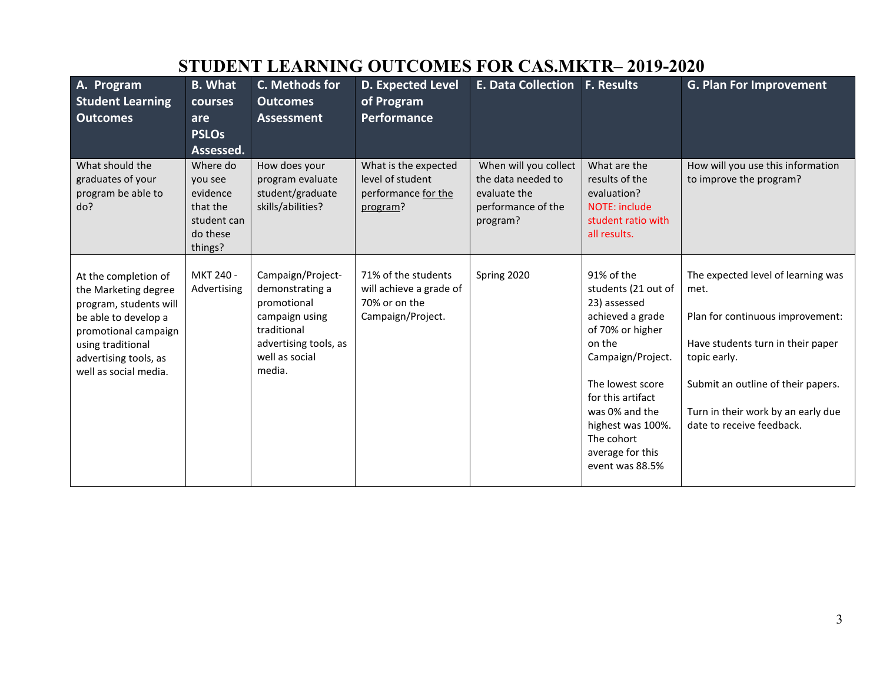|                                                                                                                                                                                               |                                                                                   |                                                                                                                                           | 9 I UDEN I  LEANNING OU I COMES FOR CAS.MRTR= 2017-2020                              |                                                                                               |                                                                                                                                                                                                                                                               |                                                                                                                                                                                                                                              |
|-----------------------------------------------------------------------------------------------------------------------------------------------------------------------------------------------|-----------------------------------------------------------------------------------|-------------------------------------------------------------------------------------------------------------------------------------------|--------------------------------------------------------------------------------------|-----------------------------------------------------------------------------------------------|---------------------------------------------------------------------------------------------------------------------------------------------------------------------------------------------------------------------------------------------------------------|----------------------------------------------------------------------------------------------------------------------------------------------------------------------------------------------------------------------------------------------|
| A. Program<br><b>Student Learning</b><br><b>Outcomes</b>                                                                                                                                      | <b>B.</b> What<br>courses<br>are<br><b>PSLOs</b><br>Assessed.                     | C. Methods for<br><b>Outcomes</b><br><b>Assessment</b>                                                                                    | D. Expected Level<br>of Program<br>Performance                                       | <b>E. Data Collection</b>                                                                     | <b>F. Results</b>                                                                                                                                                                                                                                             | <b>G. Plan For Improvement</b>                                                                                                                                                                                                               |
| What should the<br>graduates of your<br>program be able to<br>do?                                                                                                                             | Where do<br>you see<br>evidence<br>that the<br>student can<br>do these<br>things? | How does your<br>program evaluate<br>student/graduate<br>skills/abilities?                                                                | What is the expected<br>level of student<br>performance for the<br>program?          | When will you collect<br>the data needed to<br>evaluate the<br>performance of the<br>program? | What are the<br>results of the<br>evaluation?<br><b>NOTE: include</b><br>student ratio with<br>all results.                                                                                                                                                   | How will you use this information<br>to improve the program?                                                                                                                                                                                 |
| At the completion of<br>the Marketing degree<br>program, students will<br>be able to develop a<br>promotional campaign<br>using traditional<br>advertising tools, as<br>well as social media. | MKT 240 -<br>Advertising                                                          | Campaign/Project-<br>demonstrating a<br>promotional<br>campaign using<br>traditional<br>advertising tools, as<br>well as social<br>media. | 71% of the students<br>will achieve a grade of<br>70% or on the<br>Campaign/Project. | Spring 2020                                                                                   | 91% of the<br>students (21 out of<br>23) assessed<br>achieved a grade<br>of 70% or higher<br>on the<br>Campaign/Project.<br>The lowest score<br>for this artifact<br>was 0% and the<br>highest was 100%.<br>The cohort<br>average for this<br>event was 88.5% | The expected level of learning was<br>met.<br>Plan for continuous improvement:<br>Have students turn in their paper<br>topic early.<br>Submit an outline of their papers.<br>Turn in their work by an early due<br>date to receive feedback. |

# **STUDENT LEARNING OUTCOMES FOR CAS.MKTR– 2019-2020**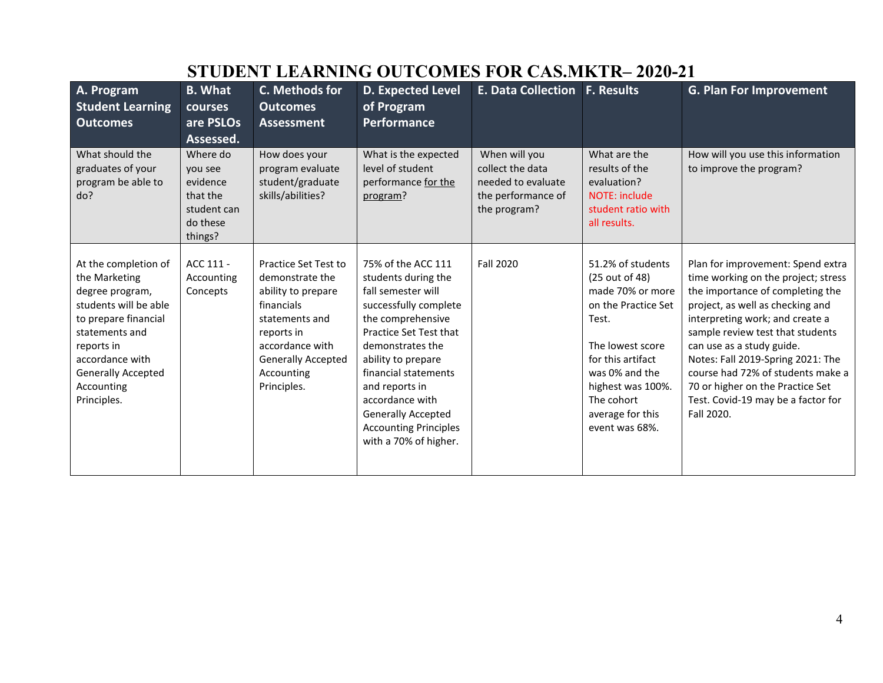| A. Program<br><b>Student Learning</b><br><b>Outcomes</b>                                                                                                                                                               | <b>B.</b> What<br>courses<br>are PSLOs<br>Assessed.                               | C. Methods for<br><b>Outcomes</b><br><b>Assessment</b>                                                                                                                                   | <b>D. Expected Level</b><br>of Program<br><b>Performance</b>                                                                                                                                                                                                                                                                         | <b>E. Data Collection F. Results</b>                                                          |                                                                                                                                                                                                                             | <b>G. Plan For Improvement</b>                                                                                                                                                                                                                                                                                                                                                                                         |
|------------------------------------------------------------------------------------------------------------------------------------------------------------------------------------------------------------------------|-----------------------------------------------------------------------------------|------------------------------------------------------------------------------------------------------------------------------------------------------------------------------------------|--------------------------------------------------------------------------------------------------------------------------------------------------------------------------------------------------------------------------------------------------------------------------------------------------------------------------------------|-----------------------------------------------------------------------------------------------|-----------------------------------------------------------------------------------------------------------------------------------------------------------------------------------------------------------------------------|------------------------------------------------------------------------------------------------------------------------------------------------------------------------------------------------------------------------------------------------------------------------------------------------------------------------------------------------------------------------------------------------------------------------|
| What should the<br>graduates of your<br>program be able to<br>do?                                                                                                                                                      | Where do<br>you see<br>evidence<br>that the<br>student can<br>do these<br>things? | How does your<br>program evaluate<br>student/graduate<br>skills/abilities?                                                                                                               | What is the expected<br>level of student<br>performance for the<br>program?                                                                                                                                                                                                                                                          | When will you<br>collect the data<br>needed to evaluate<br>the performance of<br>the program? | What are the<br>results of the<br>evaluation?<br><b>NOTE: include</b><br>student ratio with<br>all results.                                                                                                                 | How will you use this information<br>to improve the program?                                                                                                                                                                                                                                                                                                                                                           |
| At the completion of<br>the Marketing<br>degree program,<br>students will be able<br>to prepare financial<br>statements and<br>reports in<br>accordance with<br><b>Generally Accepted</b><br>Accounting<br>Principles. | ACC 111 -<br>Accounting<br>Concepts                                               | Practice Set Test to<br>demonstrate the<br>ability to prepare<br>financials<br>statements and<br>reports in<br>accordance with<br><b>Generally Accepted</b><br>Accounting<br>Principles. | 75% of the ACC 111<br>students during the<br>fall semester will<br>successfully complete<br>the comprehensive<br>Practice Set Test that<br>demonstrates the<br>ability to prepare<br>financial statements<br>and reports in<br>accordance with<br><b>Generally Accepted</b><br><b>Accounting Principles</b><br>with a 70% of higher. | <b>Fall 2020</b>                                                                              | 51.2% of students<br>(25 out of 48)<br>made 70% or more<br>on the Practice Set<br>Test.<br>The lowest score<br>for this artifact<br>was 0% and the<br>highest was 100%.<br>The cohort<br>average for this<br>event was 68%. | Plan for improvement: Spend extra<br>time working on the project; stress<br>the importance of completing the<br>project, as well as checking and<br>interpreting work; and create a<br>sample review test that students<br>can use as a study guide.<br>Notes: Fall 2019-Spring 2021: The<br>course had 72% of students make a<br>70 or higher on the Practice Set<br>Test. Covid-19 may be a factor for<br>Fall 2020. |

# **STUDENT LEARNING OUTCOMES FOR CAS.MKTR– 2020-21**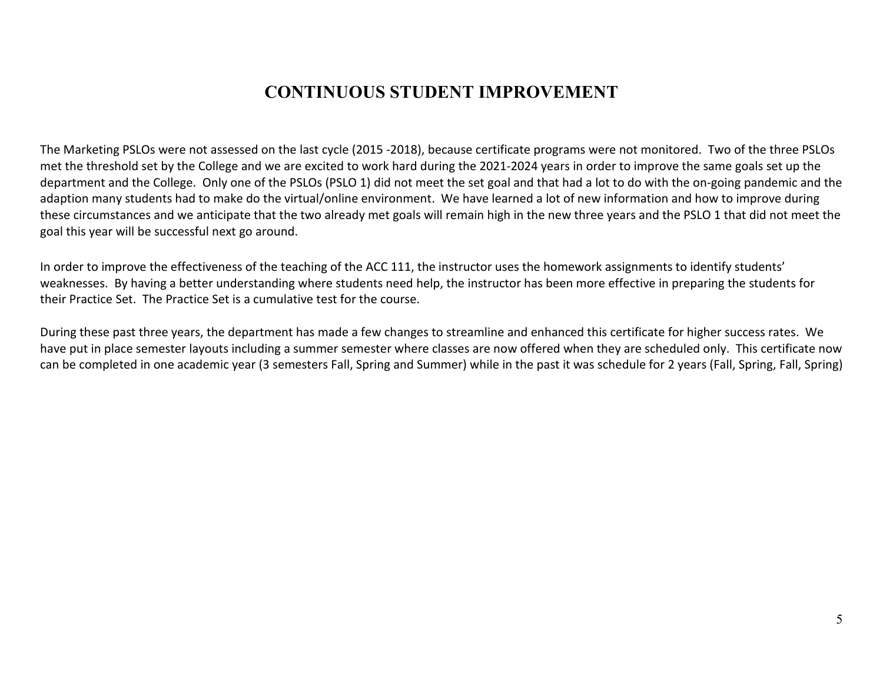### **CONTINUOUS STUDENT IMPROVEMENT**

The Marketing PSLOs were not assessed on the last cycle (2015 -2018), because certificate programs were not monitored. Two of the three PSLOs met the threshold set by the College and we are excited to work hard during the 2021-2024 years in order to improve the same goals set up the department and the College. Only one of the PSLOs (PSLO 1) did not meet the set goal and that had a lot to do with the on-going pandemic and the adaption many students had to make do the virtual/online environment. We have learned a lot of new information and how to improve during these circumstances and we anticipate that the two already met goals will remain high in the new three years and the PSLO 1 that did not meet the goal this year will be successful next go around.

In order to improve the effectiveness of the teaching of the ACC 111, the instructor uses the homework assignments to identify students' weaknesses. By having a better understanding where students need help, the instructor has been more effective in preparing the students for their Practice Set. The Practice Set is a cumulative test for the course.

During these past three years, the department has made a few changes to streamline and enhanced this certificate for higher success rates. We have put in place semester layouts including a summer semester where classes are now offered when they are scheduled only. This certificate now can be completed in one academic year (3 semesters Fall, Spring and Summer) while in the past it was schedule for 2 years (Fall, Spring, Fall, Spring)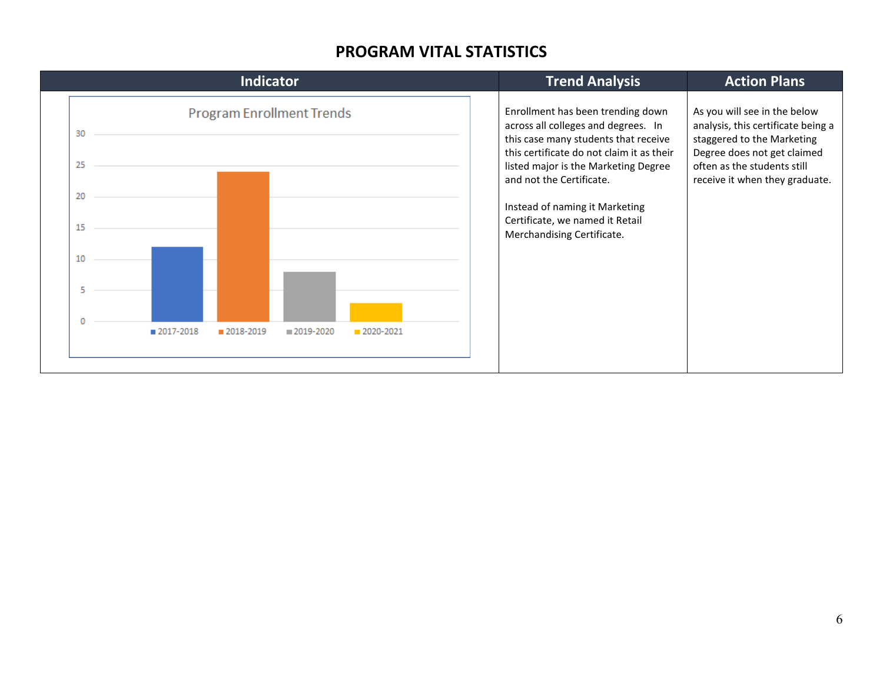#### **PROGRAM VITAL STATISTICS**

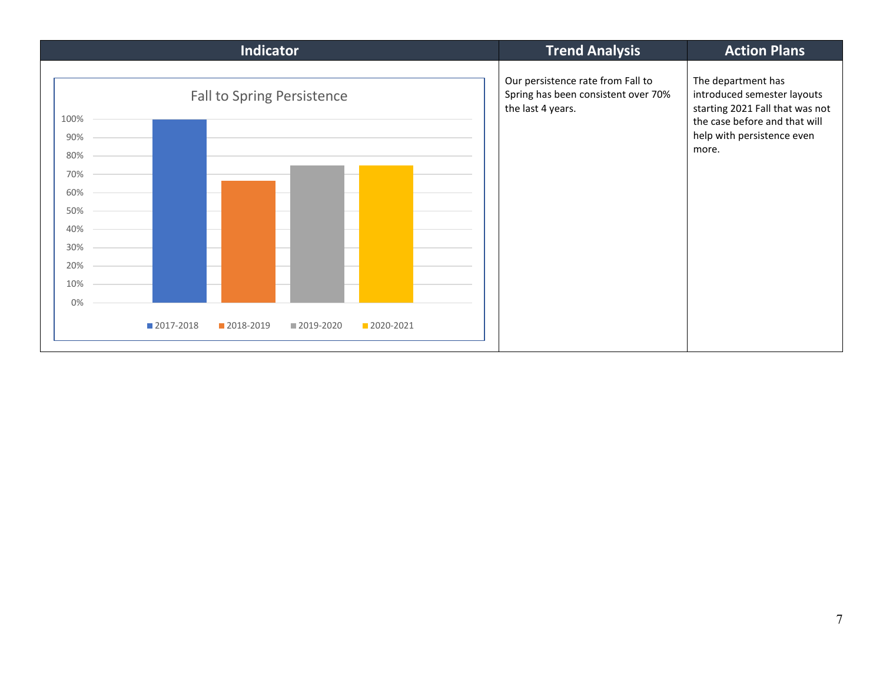| <b>Indicator</b>                                                                                  | <b>Trend Analysis</b>                                                                         | <b>Action Plans</b>                                                                                                                                          |
|---------------------------------------------------------------------------------------------------|-----------------------------------------------------------------------------------------------|--------------------------------------------------------------------------------------------------------------------------------------------------------------|
| <b>Fall to Spring Persistence</b><br>100%<br>90%<br>80%<br>70%<br>60%<br>50%<br>40%<br>30%<br>20% | Our persistence rate from Fall to<br>Spring has been consistent over 70%<br>the last 4 years. | The department has<br>introduced semester layouts<br>starting 2021 Fall that was not<br>the case before and that will<br>help with persistence even<br>more. |
| 10%                                                                                               |                                                                                               |                                                                                                                                                              |
| 0%<br>■ 2017-2018<br>2018-2019<br>2019-2020<br>2020-2021                                          |                                                                                               |                                                                                                                                                              |
|                                                                                                   |                                                                                               |                                                                                                                                                              |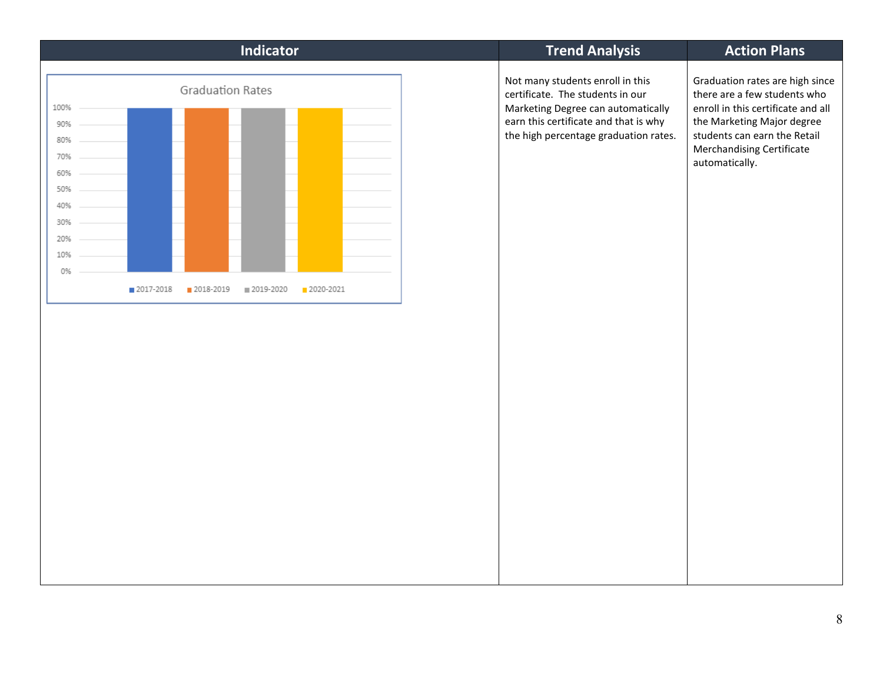| <b>Indicator</b>                                                                                                                                               | <b>Trend Analysis</b>                                                                                                                                                                        | <b>Action Plans</b>                                                                                                                                                                                                |
|----------------------------------------------------------------------------------------------------------------------------------------------------------------|----------------------------------------------------------------------------------------------------------------------------------------------------------------------------------------------|--------------------------------------------------------------------------------------------------------------------------------------------------------------------------------------------------------------------|
| <b>Graduation Rates</b><br>100%<br>90%<br>80%<br>70%<br>60%<br>50%<br>40%<br>30%<br>20%<br>10%<br>0%<br>2017-2018<br>2018-2019<br>■ 2019-2020<br>$2020 - 2021$ | Not many students enroll in this<br>certificate. The students in our<br>Marketing Degree can automatically<br>earn this certificate and that is why<br>the high percentage graduation rates. | Graduation rates are high since<br>there are a few students who<br>enroll in this certificate and all<br>the Marketing Major degree<br>students can earn the Retail<br>Merchandising Certificate<br>automatically. |